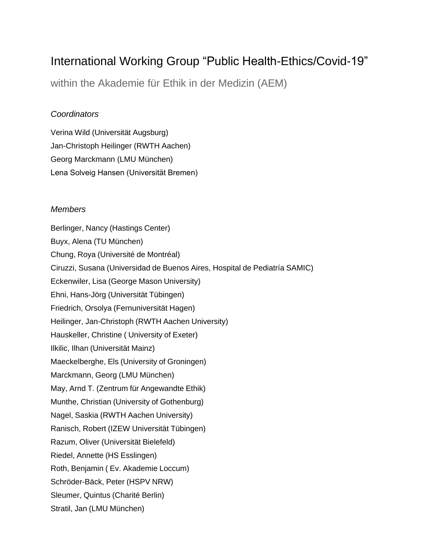# International Working Group "Public Health-Ethics/Covid-19"

within the Akademie für Ethik in der Medizin (AEM)

## *Coordinators*

Verina Wild (Universität Augsburg) Jan-Christoph Heilinger (RWTH Aachen) Georg Marckmann (LMU München) Lena Solveig Hansen (Universität Bremen)

## *Members*

Berlinger, Nancy (Hastings Center) Buyx, Alena (TU München) Chung, Roya (Université de Montréal) Ciruzzi, Susana (Universidad de Buenos Aires, Hospital de Pediatría SAMIC) Eckenwiler, Lisa (George Mason University) Ehni, Hans-Jörg (Universität Tübingen) Friedrich, Orsolya (Fernuniversität Hagen) Heilinger, Jan-Christoph (RWTH Aachen University) Hauskeller, Christine ( University of Exeter) Ilkilic, Ilhan (Universität Mainz) Maeckelberghe, Els (University of Groningen) Marckmann, Georg (LMU München) May, Arnd T. (Zentrum für Angewandte Ethik) Munthe, Christian (University of Gothenburg) Nagel, Saskia (RWTH Aachen University) Ranisch, Robert (IZEW Universität Tübingen) Razum, Oliver (Universität Bielefeld) Riedel, Annette (HS Esslingen) Roth, Benjamin ( Ev. Akademie Loccum) Schröder-Bäck, Peter (HSPV NRW) Sleumer, Quintus (Charité Berlin) Stratil, Jan (LMU München)